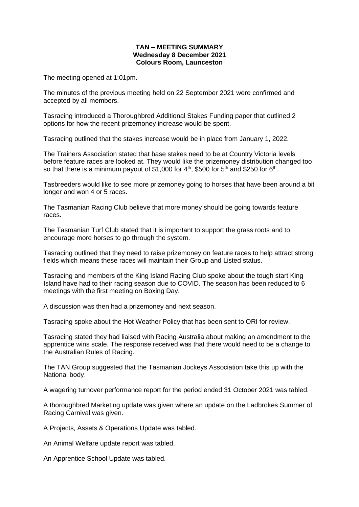## **TAN – MEETING SUMMARY Wednesday 8 December 2021 Colours Room, Launceston**

The meeting opened at 1:01pm.

The minutes of the previous meeting held on 22 September 2021 were confirmed and accepted by all members.

Tasracing introduced a Thoroughbred Additional Stakes Funding paper that outlined 2 options for how the recent prizemoney increase would be spent.

Tasracing outlined that the stakes increase would be in place from January 1, 2022.

The Trainers Association stated that base stakes need to be at Country Victoria levels before feature races are looked at. They would like the prizemoney distribution changed too so that there is a minimum payout of \$1,000 for 4<sup>th</sup>, \$500 for 5<sup>th</sup> and \$250 for 6<sup>th</sup>.

Tasbreeders would like to see more prizemoney going to horses that have been around a bit longer and won 4 or 5 races.

The Tasmanian Racing Club believe that more money should be going towards feature races.

The Tasmanian Turf Club stated that it is important to support the grass roots and to encourage more horses to go through the system.

Tasracing outlined that they need to raise prizemoney on feature races to help attract strong fields which means these races will maintain their Group and Listed status.

Tasracing and members of the King Island Racing Club spoke about the tough start King Island have had to their racing season due to COVID. The season has been reduced to 6 meetings with the first meeting on Boxing Day.

A discussion was then had a prizemoney and next season.

Tasracing spoke about the Hot Weather Policy that has been sent to ORI for review.

Tasracing stated they had liaised with Racing Australia about making an amendment to the apprentice wins scale. The response received was that there would need to be a change to the Australian Rules of Racing.

The TAN Group suggested that the Tasmanian Jockeys Association take this up with the National body.

A wagering turnover performance report for the period ended 31 October 2021 was tabled.

A thoroughbred Marketing update was given where an update on the Ladbrokes Summer of Racing Carnival was given.

A Projects, Assets & Operations Update was tabled.

An Animal Welfare update report was tabled.

An Apprentice School Update was tabled.